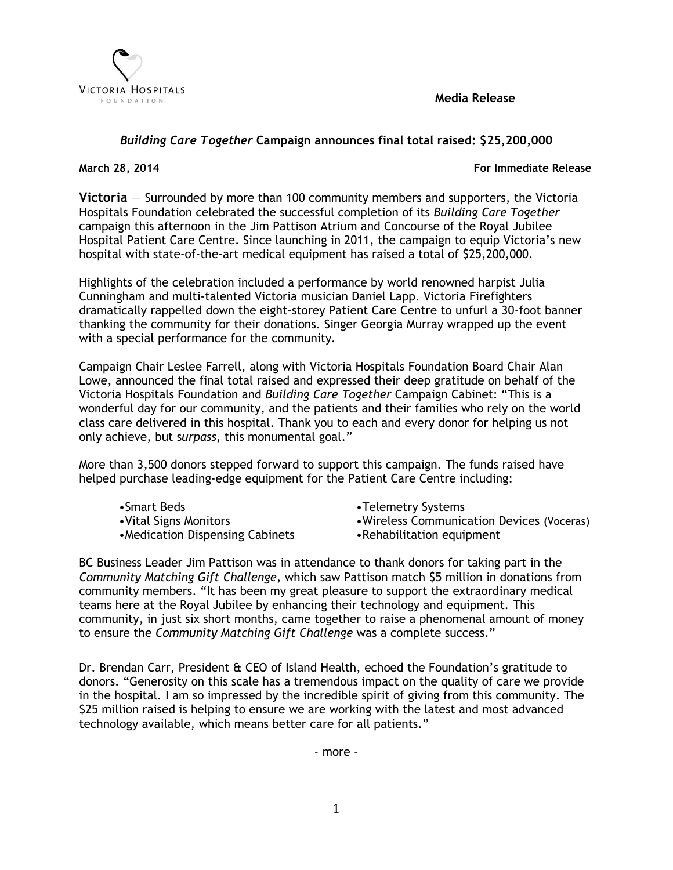

**Media Release**

## *Building Care Together* **Campaign announces final total raised: \$25,200,000**

**March 28, 2014 For Immediate Release**

**Victoria** — Surrounded by more than 100 community members and supporters, the Victoria Hospitals Foundation celebrated the successful completion of its *Building Care Together* campaign this afternoon in the Jim Pattison Atrium and Concourse of the Royal Jubilee Hospital Patient Care Centre. Since launching in 2011, the campaign to equip Victoria's new hospital with state-of-the-art medical equipment has raised a total of \$25,200,000.

Highlights of the celebration included a performance by world renowned harpist Julia Cunningham and multi-talented Victoria musician Daniel Lapp. Victoria Firefighters dramatically rappelled down the eight-storey Patient Care Centre to unfurl a 30-foot banner thanking the community for their donations. Singer Georgia Murray wrapped up the event with a special performance for the community*.*

Campaign Chair Leslee Farrell, along with Victoria Hospitals Foundation Board Chair Alan Lowe, announced the final total raised and expressed their deep gratitude on behalf of the Victoria Hospitals Foundation and *Building Care Together* Campaign Cabinet: "This is a wonderful day for our community, and the patients and their families who rely on the world class care delivered in this hospital. Thank you to each and every donor for helping us not only achieve, but s*urpass*, this monumental goal."

More than 3,500 donors stepped forward to support this campaign. The funds raised have helped purchase leading-edge equipment for the Patient Care Centre including:

- 
- 
- •Medication Dispensing Cabinets •Rehabilitation equipment
- •Smart Beds •Telemetry Systems
- •Vital Signs Monitors •Wireless Communication Devices (Voceras)
	-

BC Business Leader Jim Pattison was in attendance to thank donors for taking part in the *Community Matching Gift Challenge*, which saw Pattison match \$5 million in donations from community members. "It has been my great pleasure to support the extraordinary medical teams here at the Royal Jubilee by enhancing their technology and equipment. This community, in just six short months, came together to raise a phenomenal amount of money to ensure the *Community Matching Gift Challenge* was a complete success."

Dr. Brendan Carr, President & CEO of Island Health, echoed the Foundation's gratitude to donors. "Generosity on this scale has a tremendous impact on the quality of care we provide in the hospital. I am so impressed by the incredible spirit of giving from this community. The \$25 million raised is helping to ensure we are working with the latest and most advanced technology available, which means better care for all patients."

- more -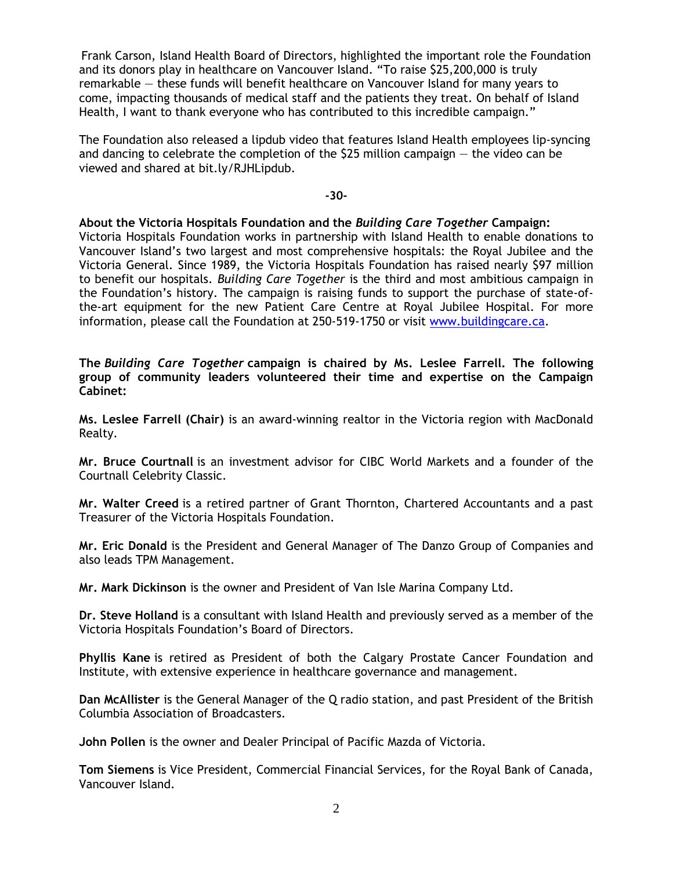Frank Carson, Island Health Board of Directors, highlighted the important role the Foundation and its donors play in healthcare on Vancouver Island. "To raise \$25,200,000 is truly remarkable — these funds will benefit healthcare on Vancouver Island for many years to come, impacting thousands of medical staff and the patients they treat. On behalf of Island Health, I want to thank everyone who has contributed to this incredible campaign."

The Foundation also released a lipdub video that features Island Health employees lip-syncing and dancing to celebrate the completion of the \$25 million campaign — the video can be viewed and shared at bit.ly/RJHLipdub.

**-30-**

## **About the Victoria Hospitals Foundation and the** *Building Care Together* **Campaign:**

Victoria Hospitals Foundation works in partnership with Island Health to enable donations to Vancouver Island's two largest and most comprehensive hospitals: the Royal Jubilee and the Victoria General. Since 1989, the Victoria Hospitals Foundation has raised nearly \$97 million to benefit our hospitals. *Building Care Together* is the third and most ambitious campaign in the Foundation's history. The campaign is raising funds to support the purchase of state-ofthe-art equipment for the new Patient Care Centre at Royal Jubilee Hospital. For more information, please call the Foundation at 250-519-1750 or visit [www.buildingcare.ca.](http://www.buildingcare.ca/)

**The** *Building Care Together* **campaign is chaired by Ms. Leslee Farrell. The following group of community leaders volunteered their time and expertise on the Campaign Cabinet:**

**Ms. Leslee Farrell (Chair)** is an award-winning realtor in the Victoria region with MacDonald Realty.

**Mr. Bruce Courtnall** is an investment advisor for CIBC World Markets and a founder of the Courtnall Celebrity Classic.

**Mr. Walter Creed** is a retired partner of Grant Thornton, Chartered Accountants and a past Treasurer of the Victoria Hospitals Foundation.

**Mr. Eric Donald** is the President and General Manager of The Danzo Group of Companies and also leads TPM Management.

**Mr. Mark Dickinson** is the owner and President of Van Isle Marina Company Ltd.

**Dr. Steve Holland** is a consultant with Island Health and previously served as a member of the Victoria Hospitals Foundation's Board of Directors.

**Phyllis Kane** is retired as President of both the Calgary Prostate Cancer Foundation and Institute, with extensive experience in healthcare governance and management.

**Dan McAllister** is the General Manager of the Q radio station, and past President of the British Columbia Association of Broadcasters.

**John Pollen** is the owner and Dealer Principal of Pacific Mazda of Victoria.

**Tom Siemens** is Vice President, Commercial Financial Services, for the Royal Bank of Canada, Vancouver Island.